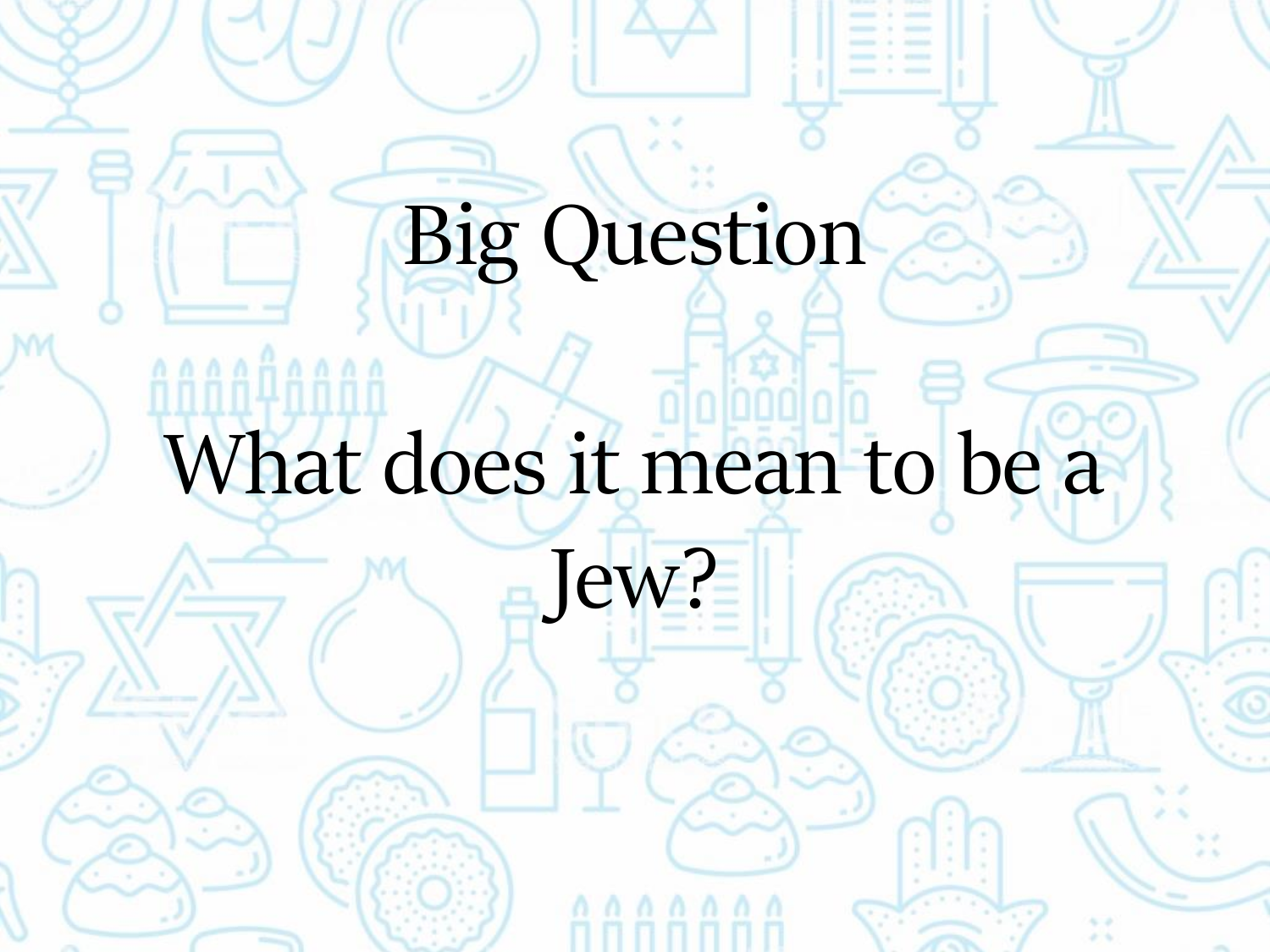# Big Question

### What does it mean to be a

Jew?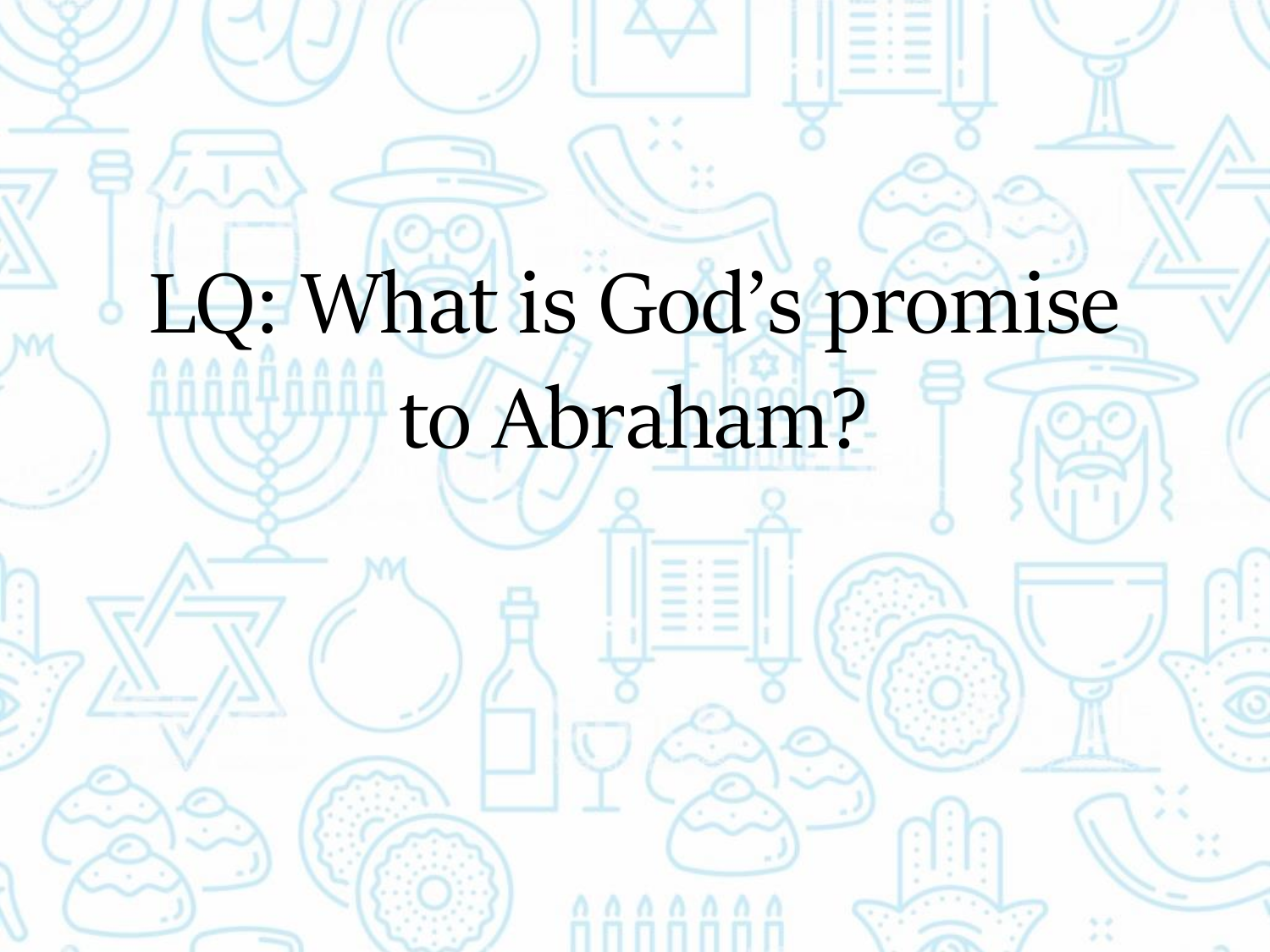# LQ: What is God's promise

### to Abraham?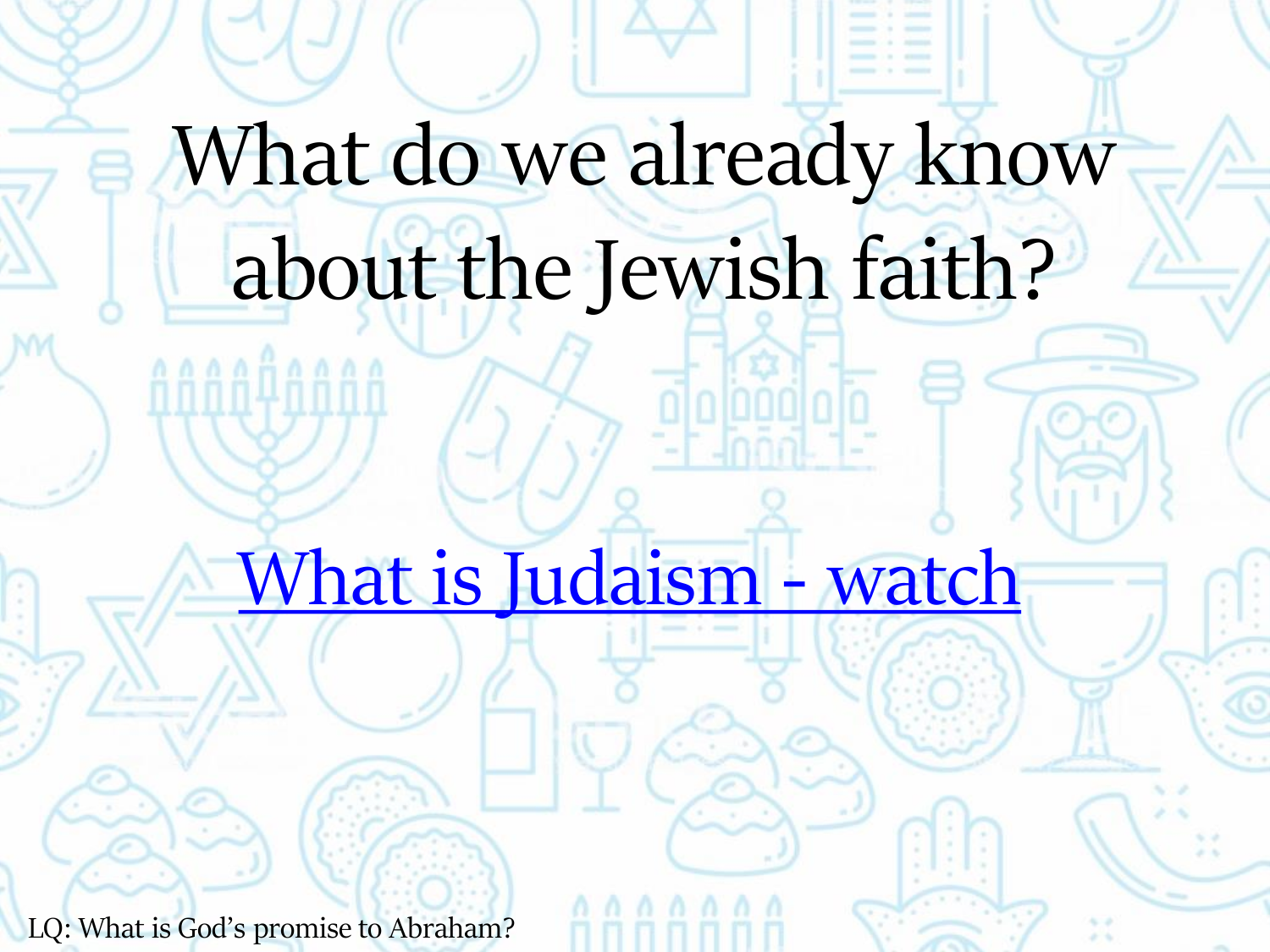# What do we already know about the Jewish faith?

[What is Judaism -](https://www.bbc.co.uk/teach/class-clips-video/religious-studies-ks2-what-is-judaism/zfbhf4j) watch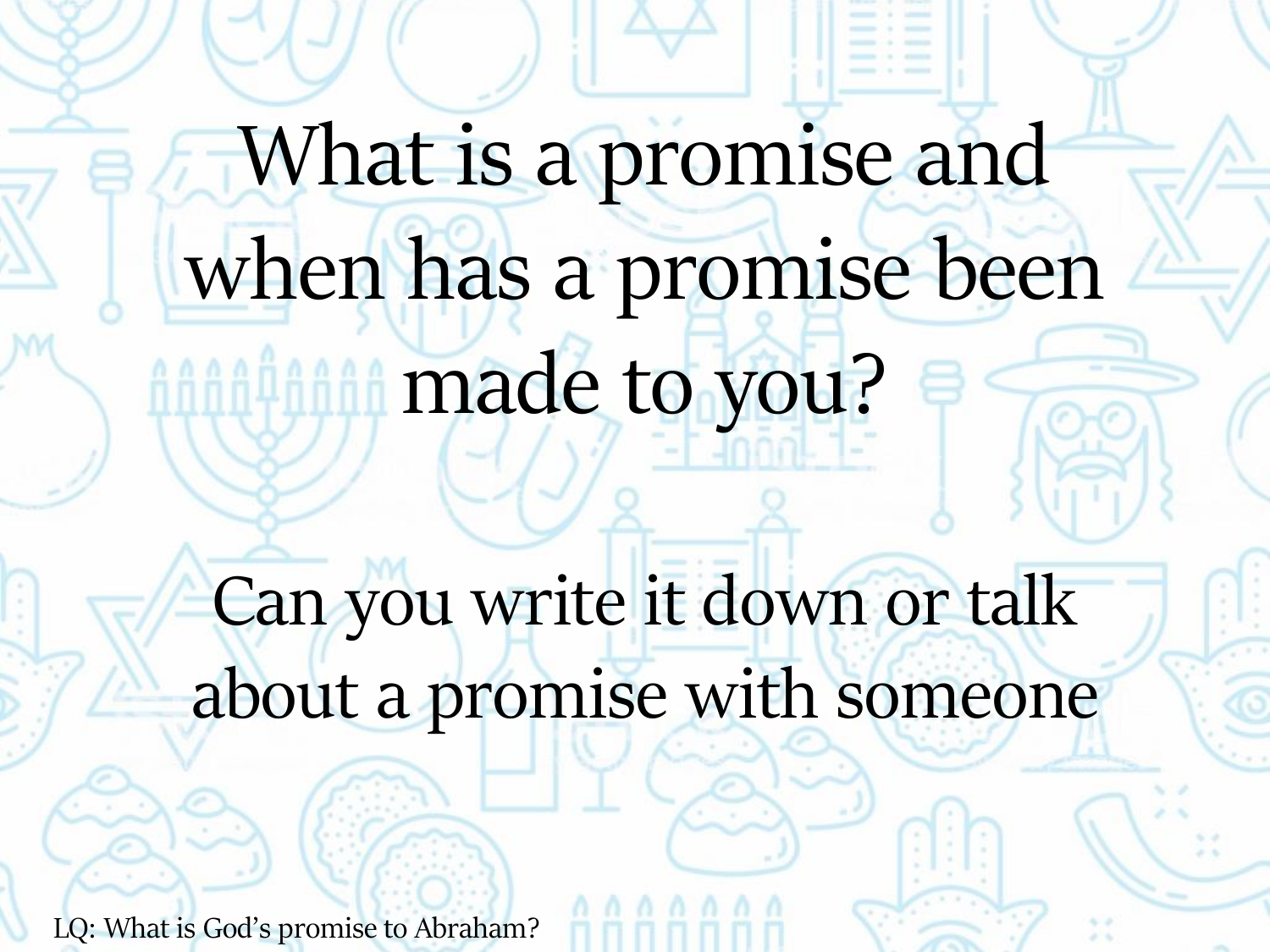# What is a promise and when has a promise been made to you?

Can you write it down or talk about a promise with someone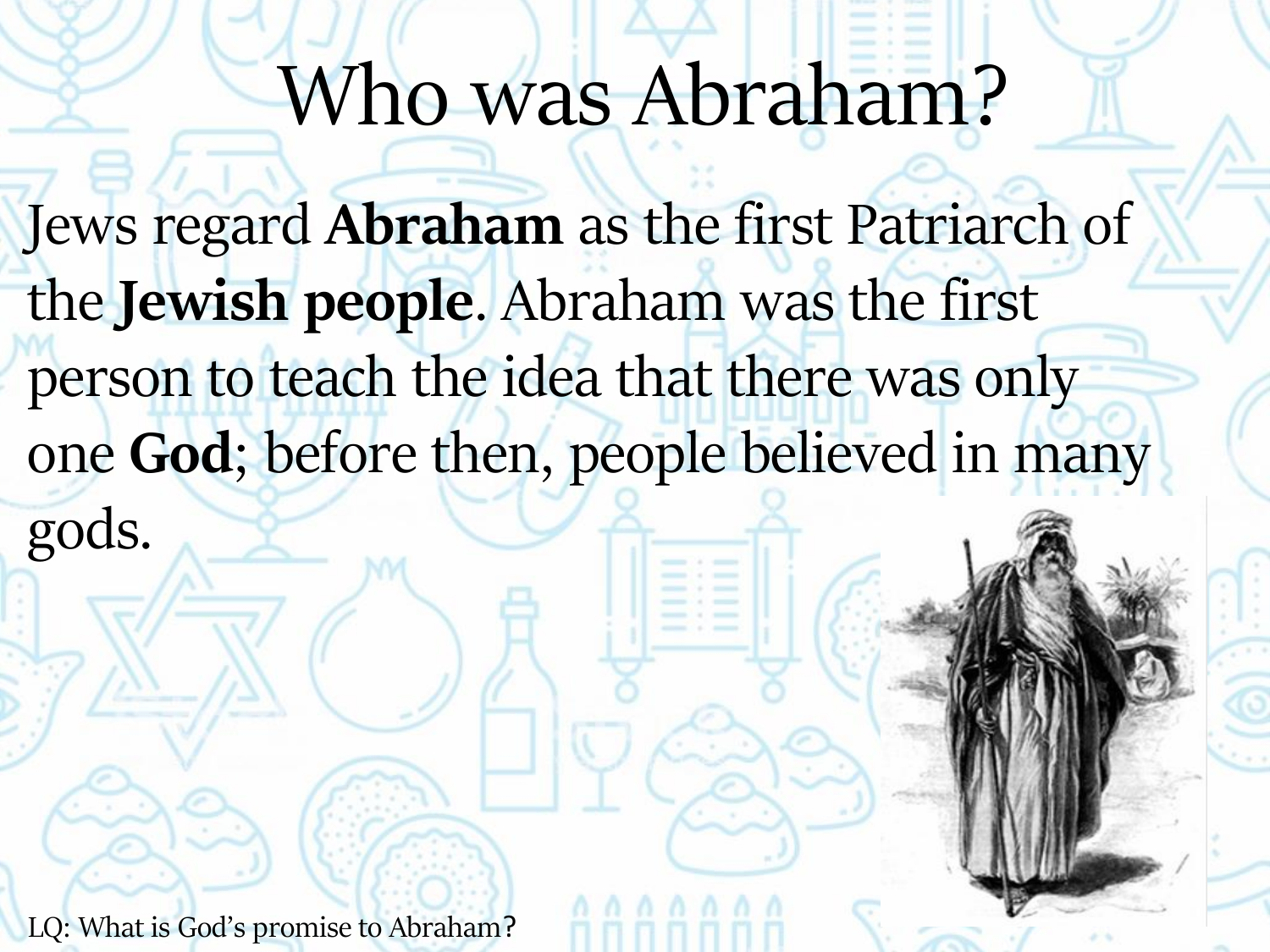#### Who was Abraham?

Jews regard **Abraham** as the first Patriarch of the **Jewish people**. Abraham was the first person to teach the idea that there was only one **God**; before then, people believed in many

gods.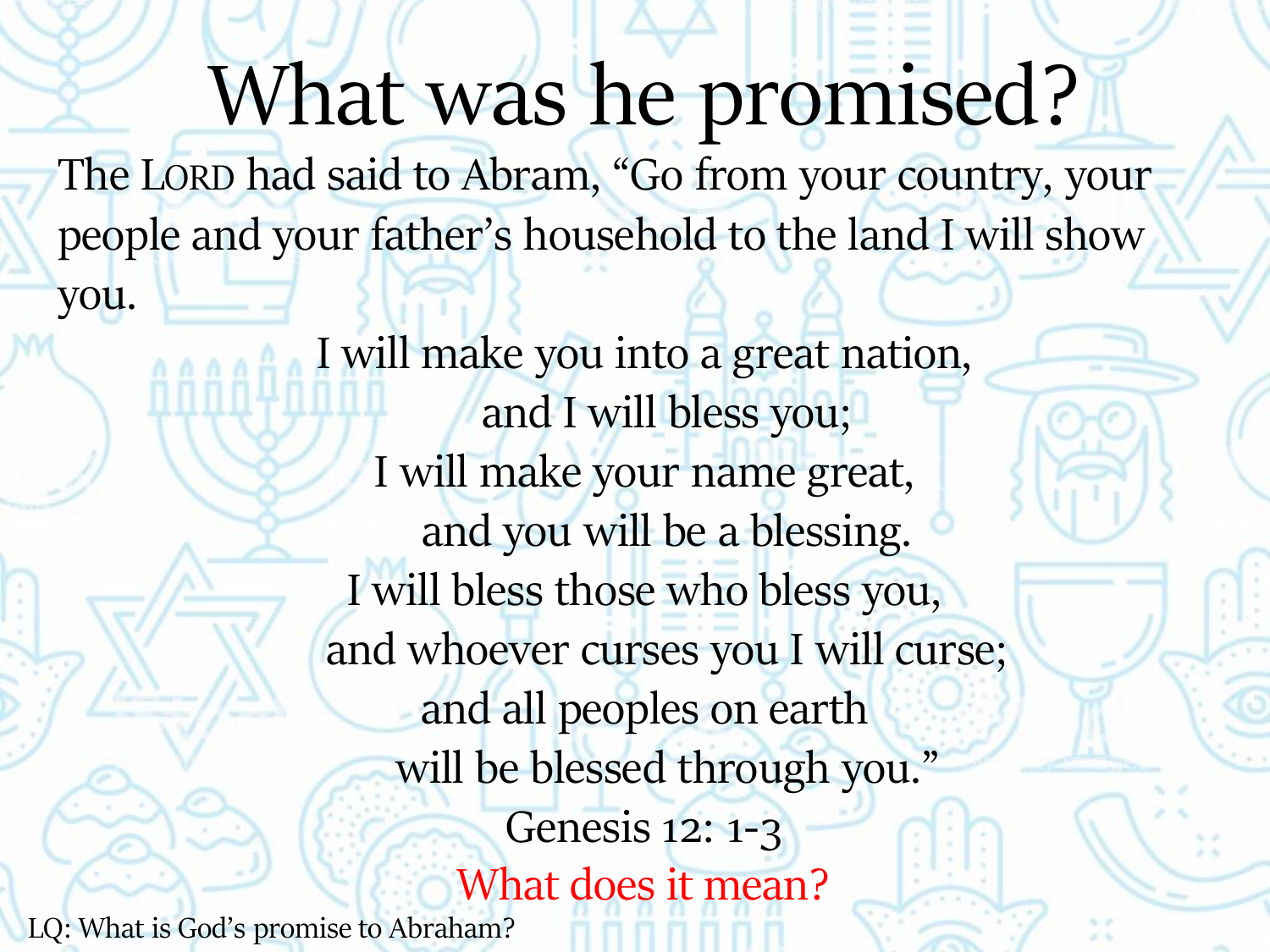What was he promised? The LORD had said to Abram, "Go from your country, your people and your father's household to the land I will show you.

I will make you into a great nation, and I will bless you; I will make your name great, and you will be a blessing. I will bless those who bless you, and whoever curses you I will curse; and all peoples on earth will be blessed through you." Genesis 12: 1-3 What does it mean? LQ: What is God's promise to Abraham?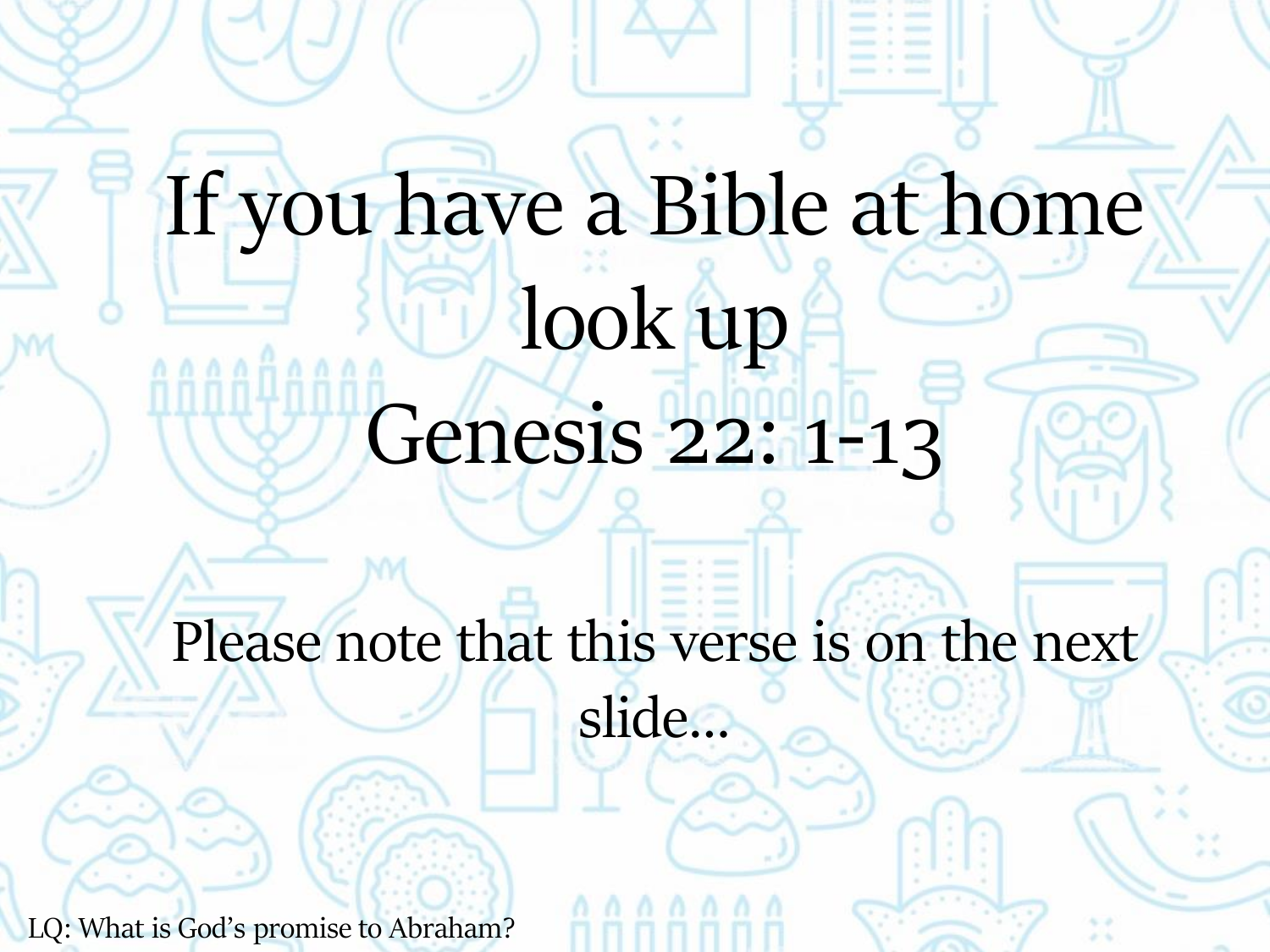# If you have a Bible at home look up Genesis 22: 1-13

Please note that this verse is on the next

slide…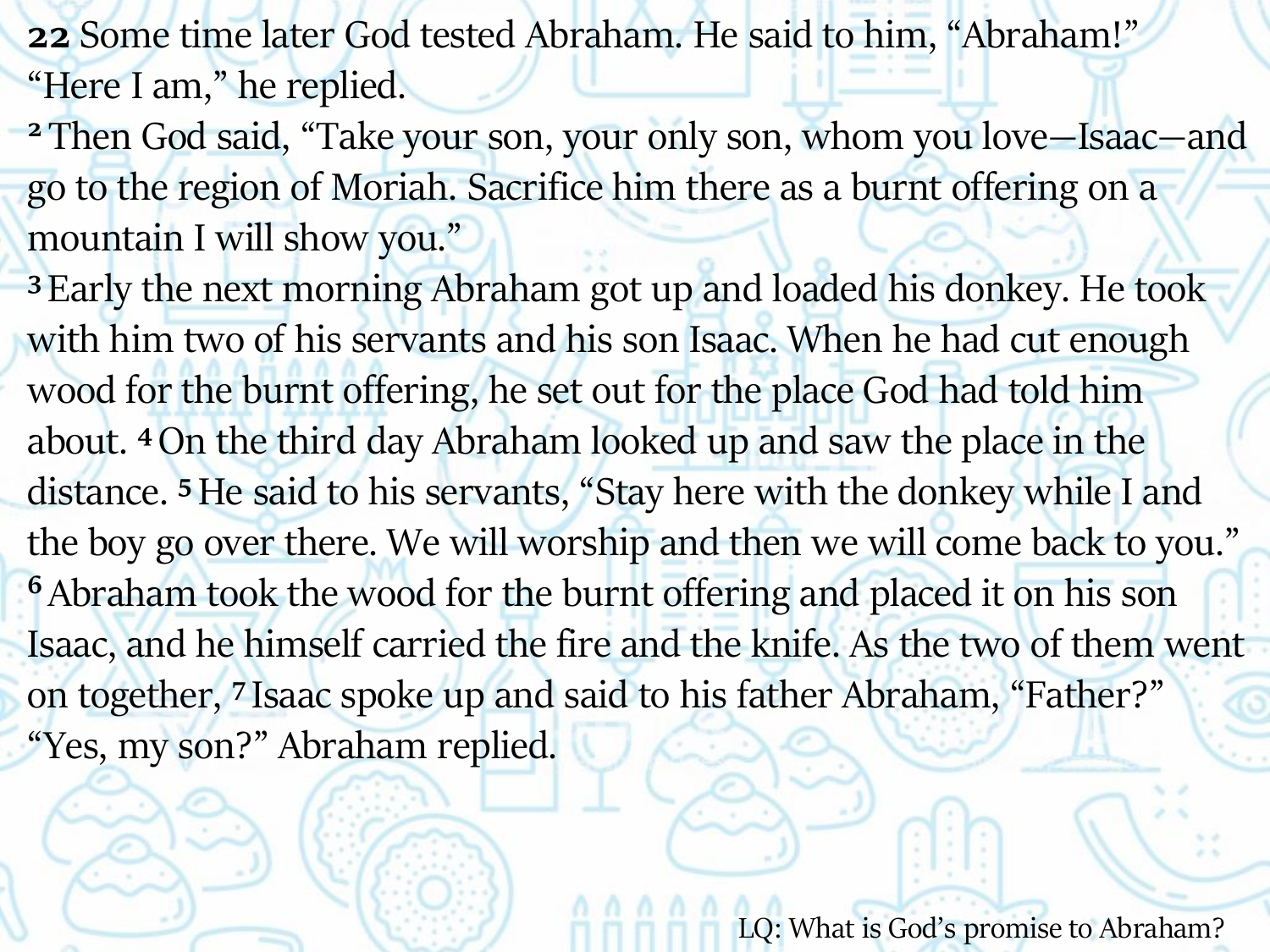**22** Some time later God tested Abraham. He said to him, "Abraham!" "Here I am," he replied.

**<sup>2</sup>** Then God said, "Take your son, your only son, whom you love—Isaac—and go to the region of Moriah. Sacrifice him there as a burnt offering on a mountain I will show you."

**<sup>3</sup>** Early the next morning Abraham got up and loaded his donkey. He took with him two of his servants and his son Isaac. When he had cut enough wood for the burnt offering, he set out for the place God had told him about. **<sup>4</sup>**On the third day Abraham looked up and saw the place in the distance. **<sup>5</sup>**He said to his servants, "Stay here with the donkey while I and the boy go over there. We will worship and then we will come back to you." **<sup>6</sup>** Abraham took the wood for the burnt offering and placed it on his son Isaac, and he himself carried the fire and the knife. As the two of them went on together, **<sup>7</sup>** Isaac spoke up and said to his father Abraham, "Father?" "Yes, my son?" Abraham replied.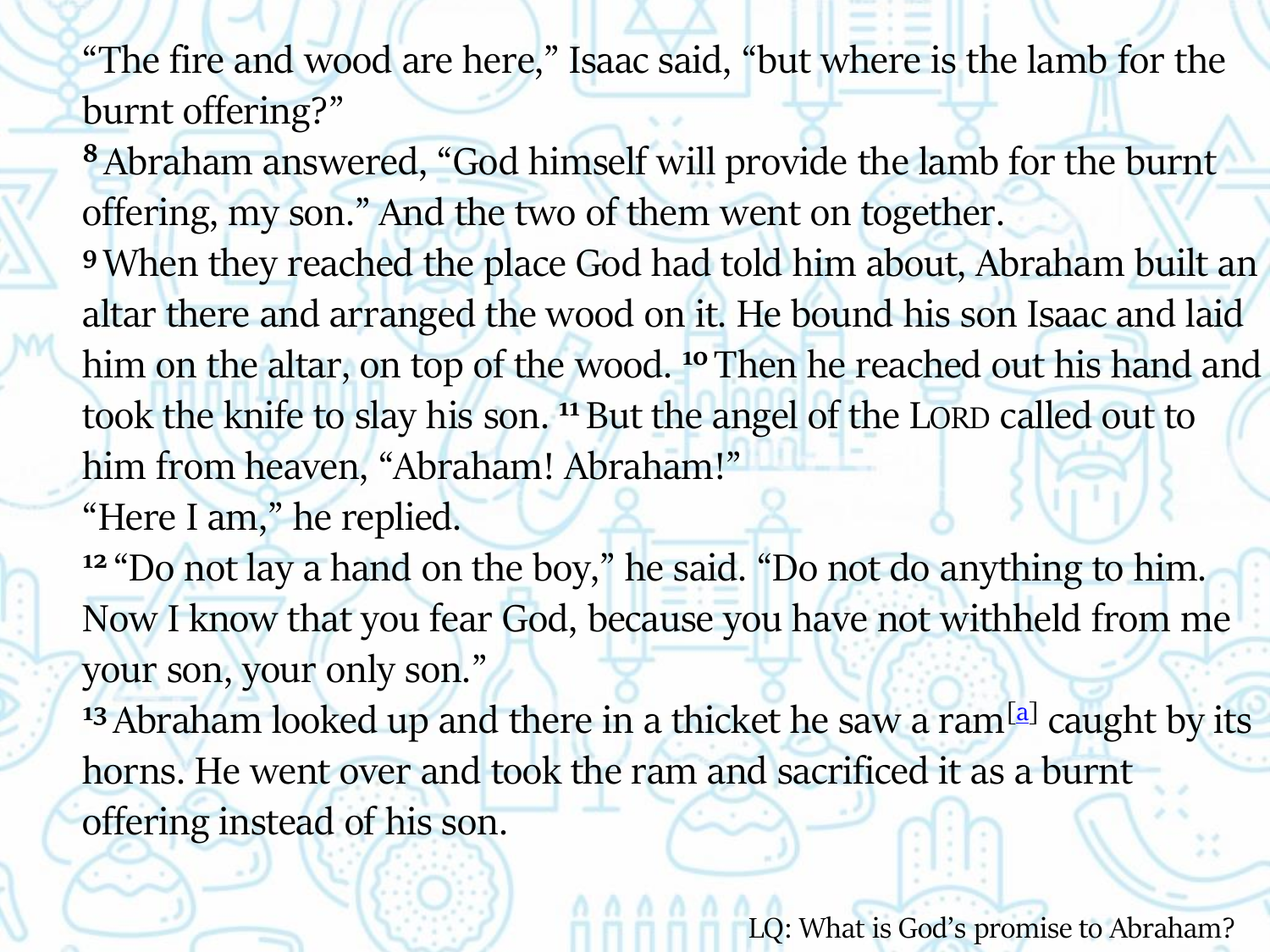"The fire and wood are here," Isaac said, "but where is the lamb for the burnt offering?"

**<sup>8</sup>** Abraham answered, "God himself will provide the lamb for the burnt offering, my son." And the two of them went on together.

**<sup>9</sup>** When they reached the place God had told him about, Abraham built an altar there and arranged the wood on it. He bound his son Isaac and laid him on the altar, on top of the wood.<sup>10</sup> Then he reached out his hand and took the knife to slay his son. **<sup>11</sup>** But the angel of the LORD called out to him from heaven, "Abraham! Abraham!"

"Here I am," he replied.

**<sup>12</sup>** "Do not lay a hand on the boy," he said. "Do not do anything to him. Now I know that you fear God, because you have not withheld from me your son, your only son."

<sup>13</sup> Abraham looked up and there in a thicket he saw a ram<sup>[\[a](https://www.biblegateway.com/passage/?search=Genesis 22:1-13&version=NIV#fen-NIV-561a)]</sup> caught by its horns. He went over and took the ram and sacrificed it as a burnt offering instead of his son.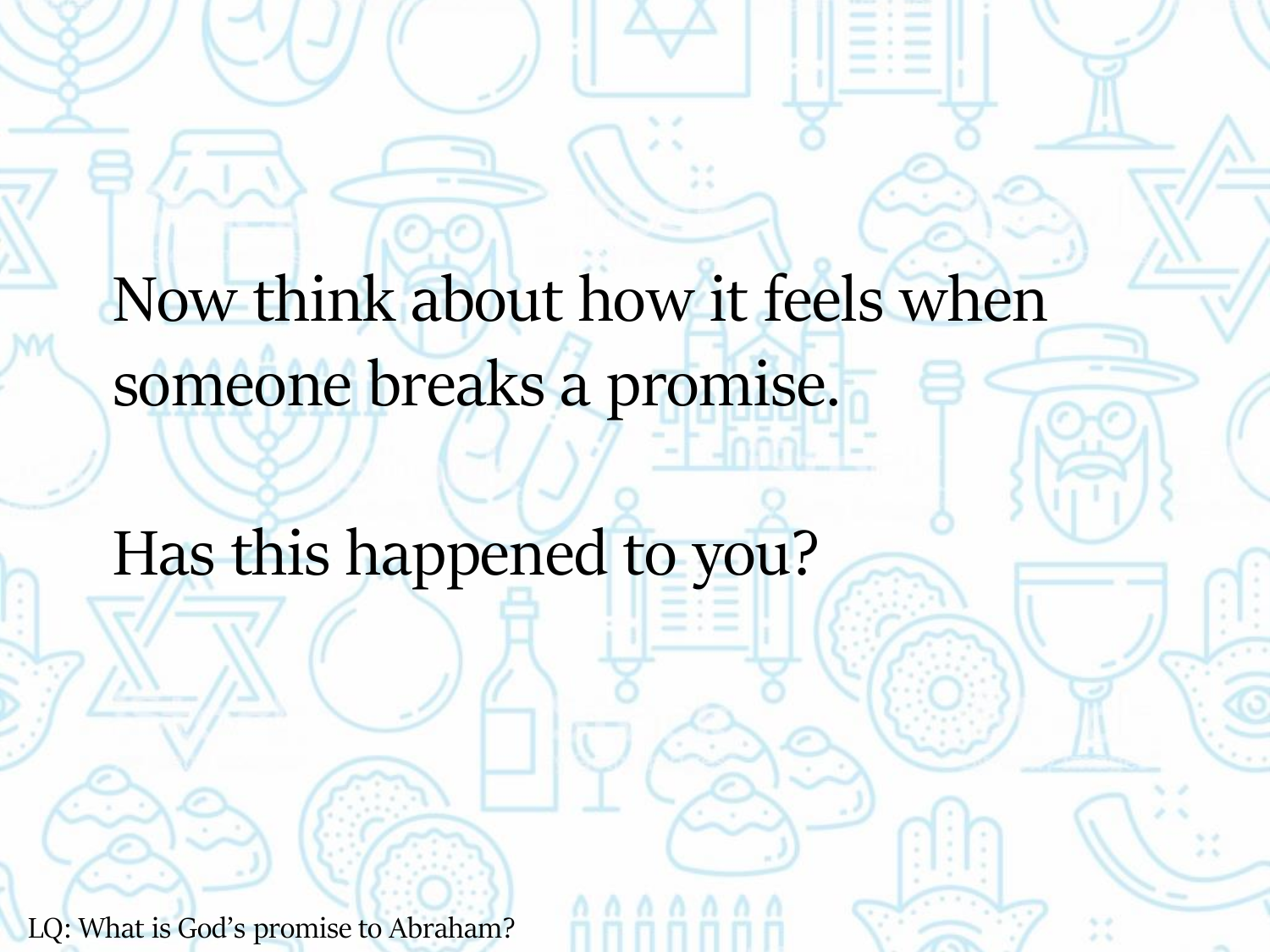Now think about how it feels when someone breaks a promise.

Has this happened to you?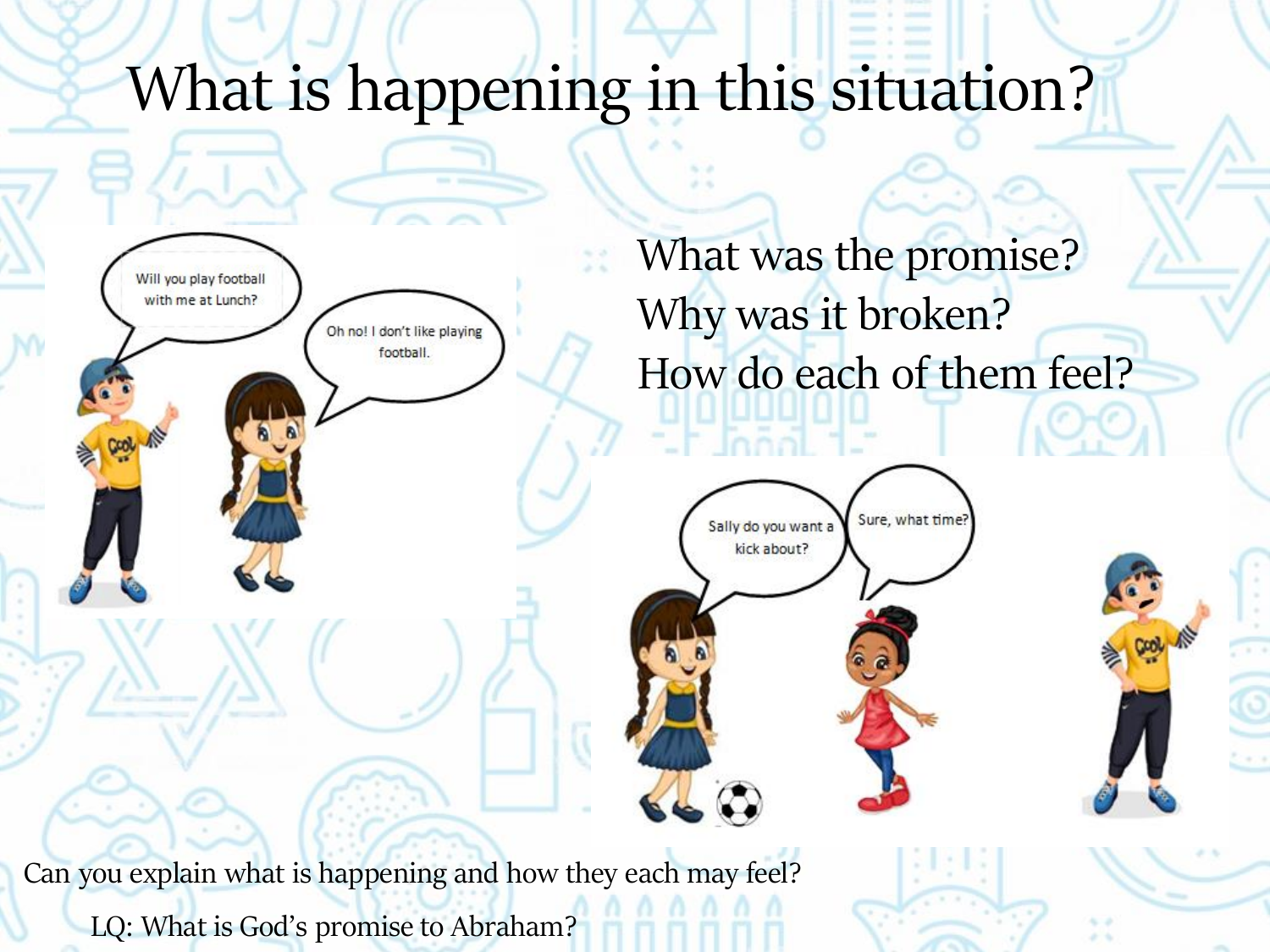#### What is happening in this situation?



What was the promise? Why was it broken? How do each of them feel?



Can you explain what is happening and how they each may feel? LQ: What is God's promise to Abraham?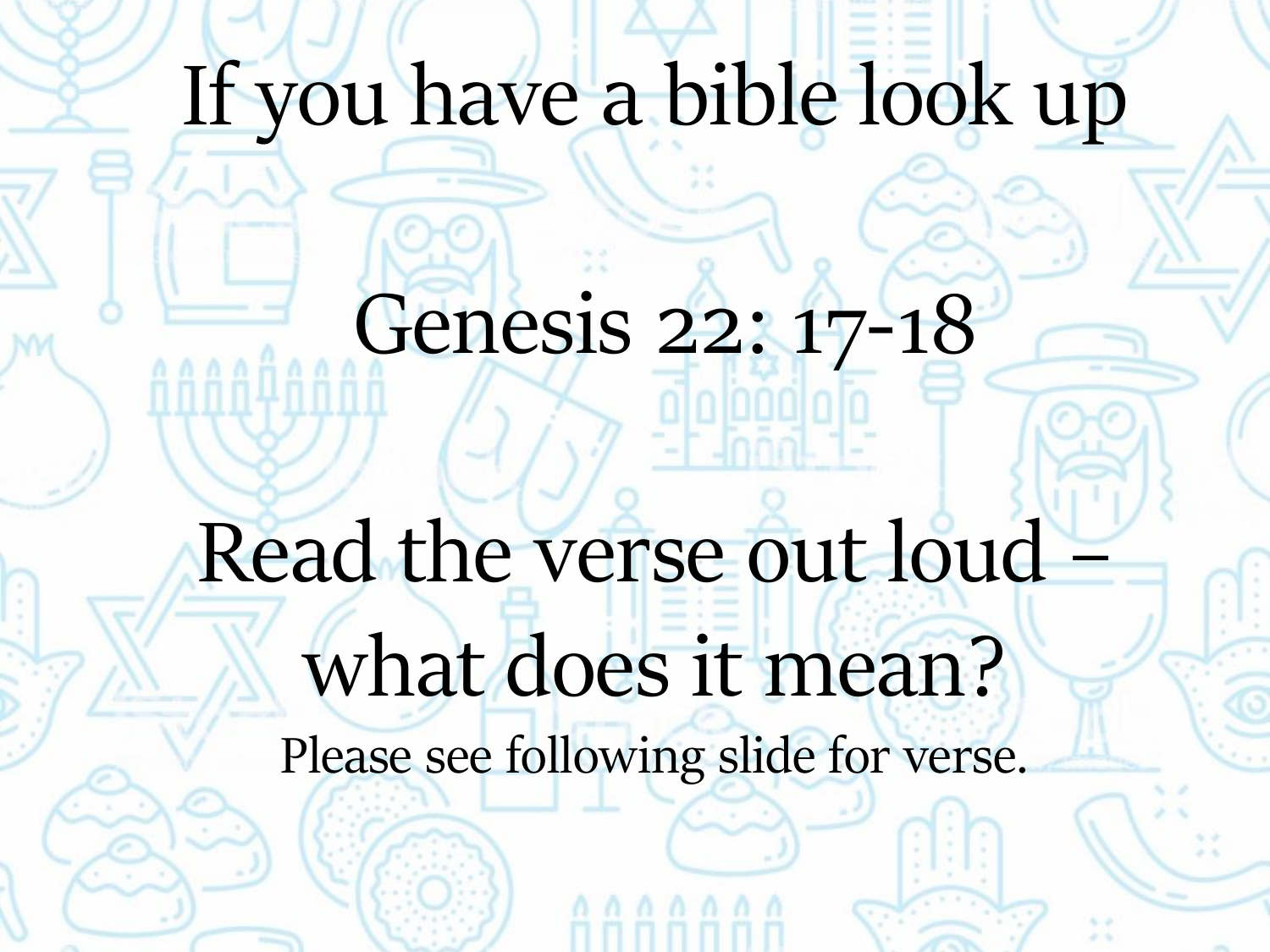#### If you have a bible look up

### Genesis 22: 17-18

### Read the verse out loud what does it mean? Please see following slide for verse.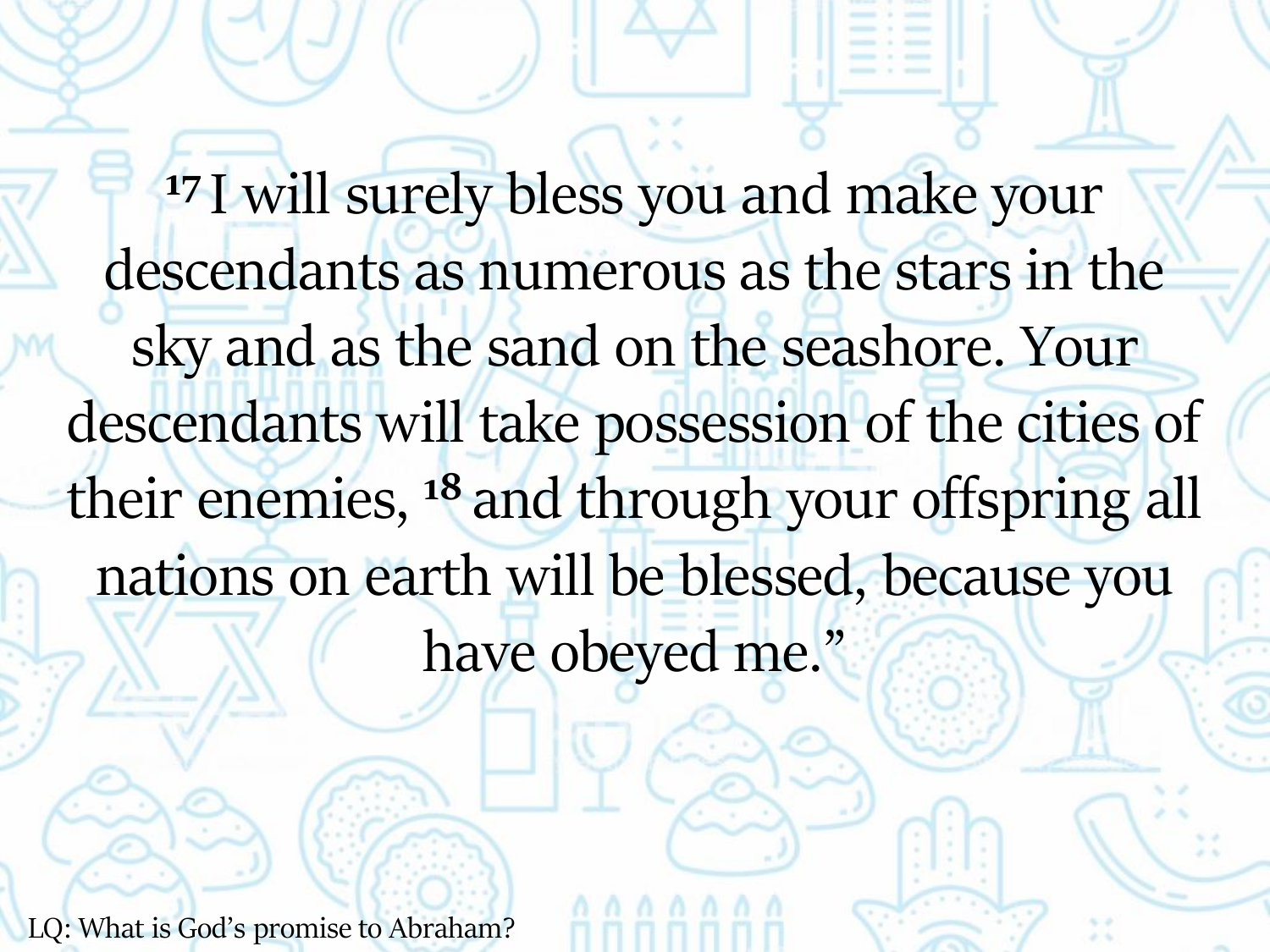<sup>17</sup> I will surely bless you and make your descendants as numerous as the stars in the sky and as the sand on the seashore. Your descendants will take possession of the cities of their enemies, **<sup>18</sup>** and through your offspring all nations on earth will be blessed, because you have obeyed me."